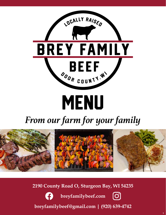

# *From our farm for your family*



**2190 County Road O, Sturgeon Bay, WI 54235**



**breyfamilybeef.com** 



**breyfamilybeef@gmail.com | (920) 639-4742**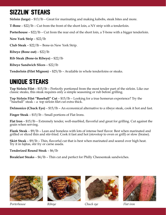# Sizzlin' steaks

**Sirloin (large)** – \$13/lb – Great for marinating and making kabobs, steak bites and more.

**T-Bone** – \$22/lb – Cut from the front of the short loin, a NY strip with a tenderloin.

**Porterhouse** – \$22/lb – Cut from the rear end of the short loin, a T-bone with a bigger tenderloin.

**New York Strip** – \$22/lb

**Club Steak** – \$22/lb – Bone-in New York Strip.

**Ribeye (Bone out)** – \$22/lb

**Rib Steak (Bone-in Ribeye)** – \$22/lb

**Ribeye Sandwich Slices** – \$22/lb

**Tenderloin (Filet Mignon)** – \$25/lb – Available in whole tenderloins or steaks.

## unique steaks

**Top Sirloin Filet** – \$15/lb – Perfectly portioned from the most tender part of the sirloin. Like our classic steaks, this steak requires only a simple seasoning or rub before grilling.

**Top Sirloin Filet "Baseball" Cut** – \$15/lb – Looking for a true homerun experience? Try the "baseball" steak – a top sirloin filet cut extra thick.

**Delmonico (Chuck Eye)** – \$15/lb – An economical alternative to a ribeye steak, cook it hot and fast.

**Finger Steak** – \$15/lb – Small portions of Flat Irons.

**Flat Iron** – \$15/lb – Extremely tender, well-marbled, flavorful and great for grilling. Cut against the grain when serving.

**Flank Steak** – \$9/lb – Lean and boneless with lots of intense beef flavor. Best when marinated and grilled or sliced thin and stir-fried. Cook it fast and hot (stovetop to oven or grill) or slow (braise).

**Skirt Steak** – \$9/lb – Thin, flavorful cut that is best when marinated and seared over high heat. Try it in fajitas, stir fry or carne asada.

**Tenderized Round Steak** – \$6/lb

**Breakfast Steaks** – \$6/lb – Thin cut and perfect for Philly Cheesesteak sandwiches.



*Porterhouse Ribeye Chuck eye Flat iron*



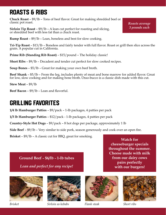# Roasts & ribs

**Chuck Roast** – \$9/lb – Tons of beef flavor. Great for making shredded beef or classic pot roast.

**Sirloin Tip Roast** – \$9/lb – A lean cut perfect for roasting and slicing, or shredded beef with less fat than a chuck roast.

*Roasts average 3 pounds each*

**Rump Roast** – \$9/lb – Lean, boneless and best for slow cooking.

**Tri-Tip Roast** – \$13/lb – Boneless and fairly tender with full flavor. Roast or grill then slice across the grain. A popular cut in California.

**Prime Rib (Standing Rib Roast) – \$15/pound – The holiday classic!** 

**Short Ribs** – \$9/lb – Decadent and tender cut perfect for slow cooked recipes.

**Soup Bones** – \$5/lb – Great for making your own beef broth.

**Beef Shank** – \$5/lb – From the leg, includes plenty of meat and bone marrow for added flavor. Great for low, slow cooking and for making bone broth. Osso-bucco is a classic dish made with this cut.

**Stew Meat** – \$9/lb

**Beef Bacon** – \$9/lb – Lean and flavorful.

## Grilling favorites

**1/4 lb Hamburger Patties** – \$9/pack – 1-lb packages, 4 patties per pack

**1/3 lb Hamburger Patties** – \$12/pack - 1-lb packages, 4 patties per pack

**Country-Style Hot Dogs** – \$9/pack – 8 hot dogs per package, approximately 1 lb

**Side Beef** – \$9/lb – Very similar to side pork, season generously and cook over an open fire.

**Brisket** – \$9/lb – A classic cut for BBQ, great for smoking.

**Ground Beef – \$6/lb – 1-lb tubes**

*Lean and perfect for any recipe!*





*Brisket Sirloin as kebabs Flank steak Short ribs*





**Watch for cheeseburger specials throughout the summer. Cheese made with milk from our dairy cows pairs perfectly with our burgers!**